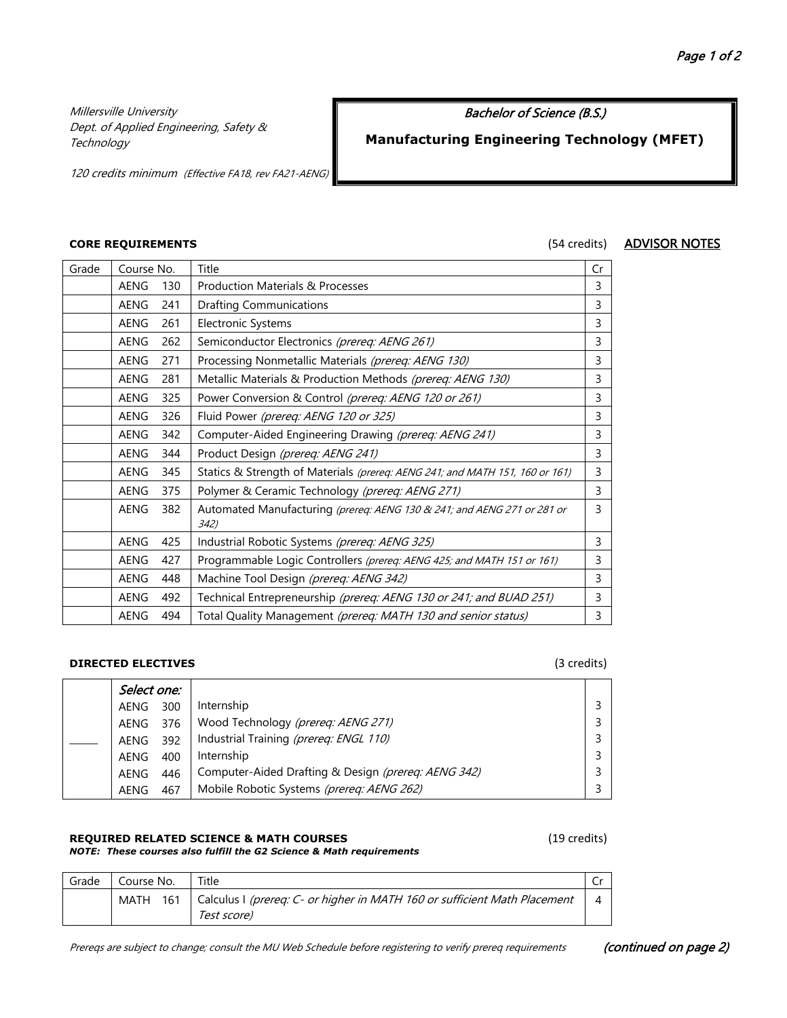Millersville University Dept. of Applied Engineering, Safety & **Technology** 

### Bachelor of Science (B.S.)

# **Manufacturing Engineering Technology (MFET)**

120 credits minimum (Effective FA18, rev FA21-AENG)

### **CORE REQUIREMENTS** (54 credits) ADVISOR NOTES

| Grade | Course No.  |     | Title                                                                           | Cr |
|-------|-------------|-----|---------------------------------------------------------------------------------|----|
|       | AENG<br>130 |     | <b>Production Materials &amp; Processes</b>                                     | 3  |
|       | <b>AENG</b> | 241 | Drafting Communications                                                         | 3  |
|       | <b>AENG</b> | 261 | <b>Electronic Systems</b>                                                       | 3  |
|       | <b>AENG</b> | 262 | Semiconductor Electronics (prereq: AENG 261)                                    | 3  |
|       | AENG        | 271 | Processing Nonmetallic Materials (prereq: AENG 130)                             | 3  |
|       | AENG        | 281 | Metallic Materials & Production Methods (prereq: AENG 130)                      | 3  |
|       | AENG        | 325 | Power Conversion & Control (prereq: AENG 120 or 261)                            | 3  |
|       | <b>AENG</b> | 326 | Fluid Power (prereq: AENG 120 or 325)                                           | 3  |
|       | <b>AENG</b> | 342 | Computer-Aided Engineering Drawing (prereq: AENG 241)                           | 3  |
|       | AENG        | 344 | Product Design (prereq: AENG 241)                                               | 3  |
|       | <b>AENG</b> | 345 | Statics & Strength of Materials (prereg: AENG 241; and MATH 151, 160 or 161)    | 3  |
|       | <b>AENG</b> | 375 | Polymer & Ceramic Technology (prereq: AENG 271)                                 | 3  |
|       | <b>AENG</b> | 382 | Automated Manufacturing (prereq: AENG 130 & 241; and AENG 271 or 281 or<br>342) | 3  |
|       | <b>AENG</b> | 425 | Industrial Robotic Systems (prereq: AENG 325)                                   | 3  |
|       | <b>AENG</b> | 427 | Programmable Logic Controllers (prereq: AENG 425; and MATH 151 or 161)          | 3  |
|       | AENG        | 448 | Machine Tool Design (prereq: AENG 342)                                          | 3  |
|       | <b>AENG</b> | 492 | Technical Entrepreneurship (prereq: AENG 130 or 241; and BUAD 251)              | 3  |
|       | <b>AENG</b> | 494 | Total Quality Management (prereq: MATH 130 and senior status)                   | 3  |

### **DIRECTED ELECTIVES** (3 credits)

| Select one: |     |                                                     |  |
|-------------|-----|-----------------------------------------------------|--|
| AENG        | 300 | Internship                                          |  |
| AENG        | 376 | Wood Technology (prereq: AENG 271)                  |  |
| AENG        | 392 | Industrial Training (prereq: ENGL 110)              |  |
| AENG        | 400 | Internship                                          |  |
| AENG        | 446 | Computer-Aided Drafting & Design (prereq: AENG 342) |  |
| AENG        | 467 | Mobile Robotic Systems (prereq: AENG 262)           |  |

### **REQUIRED RELATED SCIENCE & MATH COURSES** (19 credits)

### *NOTE: These courses also fulfill the G2 Science & Math requirements*

| Grade | Course No. | Title                                                                                               |  |
|-------|------------|-----------------------------------------------------------------------------------------------------|--|
|       |            | MATH 161   Calculus I (prereq: C- or higher in MATH 160 or sufficient Math Placement<br>Test score) |  |

Prereqs are subject to change; consult the MU Web Schedule before registering to verify prereq requirements (continued on page 2)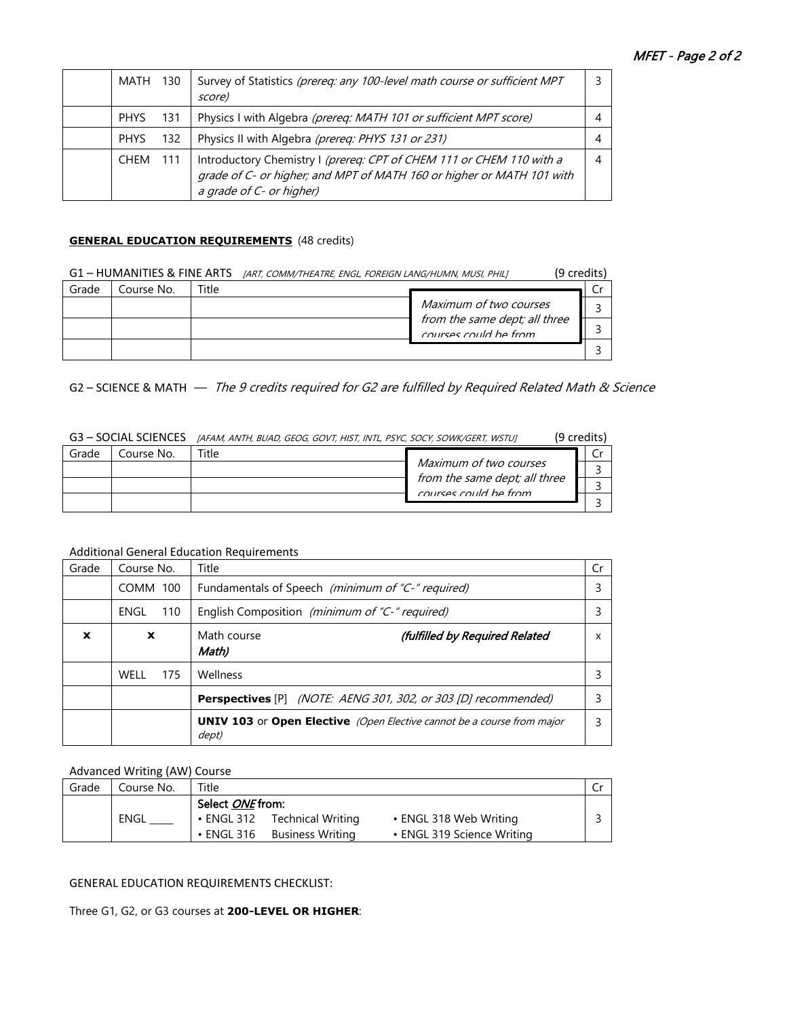| MATH 130    |     | Survey of Statistics (prereq: any 100-level math course or sufficient MPT<br>score)                                                                                       |  |
|-------------|-----|---------------------------------------------------------------------------------------------------------------------------------------------------------------------------|--|
| <b>PHYS</b> | 131 | Physics I with Algebra (prereq: MATH 101 or sufficient MPT score)                                                                                                         |  |
| <b>PHYS</b> | 132 | Physics II with Algebra (prereq: PHYS 131 or 231)                                                                                                                         |  |
| CHEM        | 111 | Introductory Chemistry I (prereq: CPT of CHEM 111 or CHEM 110 with a<br>grade of C- or higher; and MPT of MATH 160 or higher or MATH 101 with<br>a grade of C- or higher) |  |

### **GENERAL EDUCATION REQUIREMENTS** (48 credits)

| G1 - HUMANITIES & FINE ARTS |            |       | (9 credits)<br>[ART, COMM/THEATRE, ENGL, FOREIGN LANG/HUMN, MUSI, PHIL] |  |
|-----------------------------|------------|-------|-------------------------------------------------------------------------|--|
| Grade                       | Course No. | Title |                                                                         |  |
|                             |            |       | Maximum of two courses                                                  |  |
|                             |            |       | from the same dept; all three<br>courses could be from                  |  |
|                             |            |       |                                                                         |  |

G2 – SCIENCE & MATH  $-$  The 9 credits required for G2 are fulfilled by Required Related Math & Science

| G3 – SOCIAL SCIENCES |            | [AFAM, ANTH, BUAD, GEOG, GOVT, HIST, INTL, PSYC, SOCY, SOWK/GERT, WSTU] |                                                                                  | (9 credits) |
|----------------------|------------|-------------------------------------------------------------------------|----------------------------------------------------------------------------------|-------------|
| Grade                | Course No. | Title                                                                   |                                                                                  |             |
|                      |            |                                                                         | Maximum of two courses<br>from the same dept; all three<br>courses could be from |             |
|                      |            |                                                                         |                                                                                  |             |
|                      |            |                                                                         |                                                                                  |             |

Additional General Education Requirements

| Grade       | Course No.  | Title                                                                                  | Cr |
|-------------|-------------|----------------------------------------------------------------------------------------|----|
|             | COMM 100    | Fundamentals of Speech (minimum of "C-" required)                                      |    |
|             | 110<br>ENGL | English Composition (minimum of "C-" required)                                         |    |
| $\mathbf x$ | X           | Math course<br>(fulfilled by Required Related<br>Math)                                 | x  |
|             | 175<br>WELL | Wellness                                                                               |    |
|             |             | <b>Perspectives</b> [P] <i>(NOTE: AENG 301, 302, or 303 [D] recommended)</i>           |    |
|             |             | <b>UNIV 103</b> or Open Elective (Open Elective cannot be a course from major<br>dept) |    |

## Advanced Writing (AW) Course

| Grade | Course No.  | Title              |                              |                            |  |
|-------|-------------|--------------------|------------------------------|----------------------------|--|
|       |             | Select ONE from:   |                              |                            |  |
|       | <b>ENGL</b> |                    | • ENGL 312 Technical Writing | • ENGL 318 Web Writing     |  |
|       |             | $\bullet$ ENGL 316 | Business Writina             | • ENGL 319 Science Writing |  |
|       |             |                    |                              |                            |  |

### GENERAL EDUCATION REQUIREMENTS CHECKLIST:

Three G1, G2, or G3 courses at **200-LEVEL OR HIGHER**: